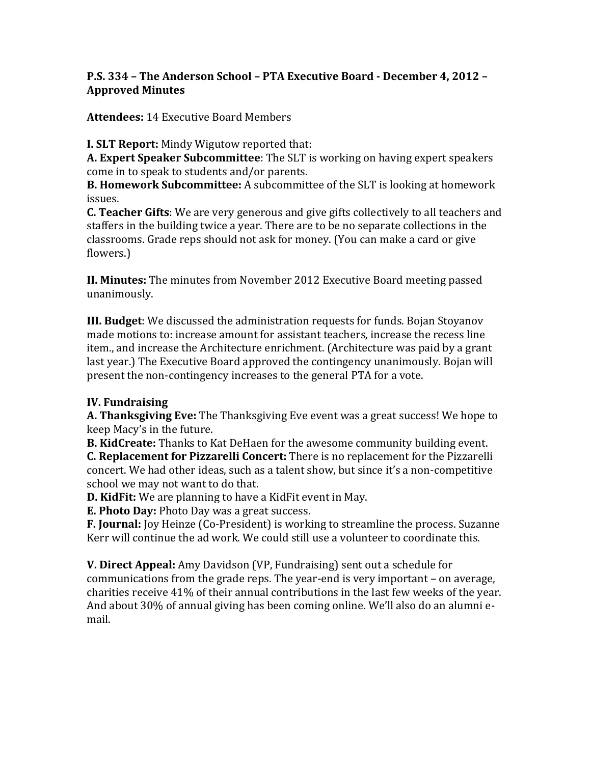## **P.S. 334 - The Anderson School - PTA Executive Board - December 4, 2012 -Approved Minutes**

**Attendees:** 14 Executive Board Members

**I. SLT Report:** Mindy Wigutow reported that:

**A. Expert Speaker Subcommittee**: The SLT is working on having expert speakers come in to speak to students and/or parents.

**B. Homework Subcommittee:** A subcommittee of the SLT is looking at homework issues.

**C.** Teacher Gifts: We are very generous and give gifts collectively to all teachers and staffers in the building twice a year. There are to be no separate collections in the classrooms. Grade reps should not ask for money. (You can make a card or give flowers.)

**II. Minutes:** The minutes from November 2012 Executive Board meeting passed unanimously.

**III. Budget:** We discussed the administration requests for funds. Bojan Stoyanov made motions to: increase amount for assistant teachers, increase the recess line item., and increase the Architecture enrichment. (Architecture was paid by a grant last year.) The Executive Board approved the contingency unanimously. Bojan will present the non-contingency increases to the general PTA for a vote.

## **IV.** Fundraising

**A. Thanksgiving Eve:** The Thanksgiving Eve event was a great success! We hope to keep Macy's in the future.

**B. KidCreate:** Thanks to Kat DeHaen for the awesome community building event. **C. Replacement for Pizzarelli Concert:** There is no replacement for the Pizzarelli concert. We had other ideas, such as a talent show, but since it's a non-competitive school we may not want to do that.

**D. KidFit:** We are planning to have a KidFit event in May.

**E. Photo Day:** Photo Day was a great success.

**F. Journal:** Joy Heinze (Co-President) is working to streamline the process. Suzanne Kerr will continue the ad work. We could still use a volunteer to coordinate this.

**V. Direct Appeal:** Amy Davidson (VP, Fundraising) sent out a schedule for communications from the grade reps. The year-end is very important  $-$  on average, charities receive 41% of their annual contributions in the last few weeks of the year. And about  $30\%$  of annual giving has been coming online. We'll also do an alumni email.